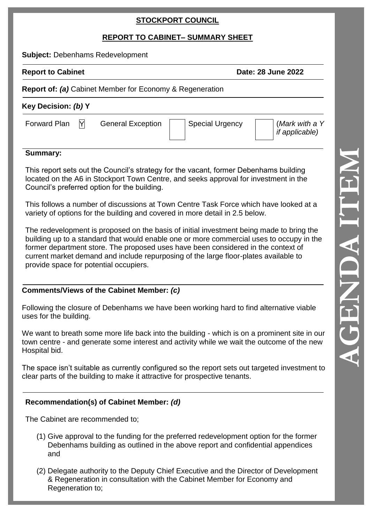## **STOCKPORT COUNCIL**

# **REPORT TO CABINET – SUMMARY SHEET**

**Subject:** Debenhams Redevelopment

**Report to Cabinet Date: 28 June 2022** 

#### **Report of:** *(a)* Cabinet Member for Economy & Regeneration

| Key Decision: (b) Y                       |                          |                 |                                         |
|-------------------------------------------|--------------------------|-----------------|-----------------------------------------|
| Forward Plan<br>$\mathsf{Y}_{\mathsf{L}}$ | <b>General Exception</b> | Special Urgency | (Mark with a Y<br><i>if applicable)</i> |

#### **Summary:**

This report sets out the Council's strategy for the vacant, former Debenhams building located on the A6 in Stockport Town Centre, and seeks approval for investment in the Council's preferred option for the building.

This follows a number of discussions at Town Centre Task Force which have looked at a variety of options for the building and covered in more detail in 2.5 below.

The redevelopment is proposed on the basis of initial investment being made to bring the building up to a standard that would enable one or more commercial uses to occupy in the former department store. The proposed uses have been considered in the context of current market demand and include repurposing of the large floor -plates available to provide space for potential occupiers.

## **Comments/Views of the Cabinet Member:** *(c)*

Following the closure of Debenhams we have been working hard to find alternative viable uses for the building .

We want to breath some more life back into the building - which is on a prominent site in our town centre - and generate some interest and activity while we wait the outcome of the new Hospital bid.

The space isn't suitable as currently configured so the report sets out targeted investment to clear parts of the building to make it attractive for prospective tenants.

## **Recommendation(s) of Cabinet Member:** *(d)*

Th e Cabinet are recommended to;

- (1) Give approval to the funding for the preferred redevelopment option for the former Debenhams building as outlined in the above report and confidential appendices and
- (2) Delegate authority to the Deputy Chief Executive and the Director of Development & Regeneration in consultation with the Cabinet Member for Economy and Regeneration to;